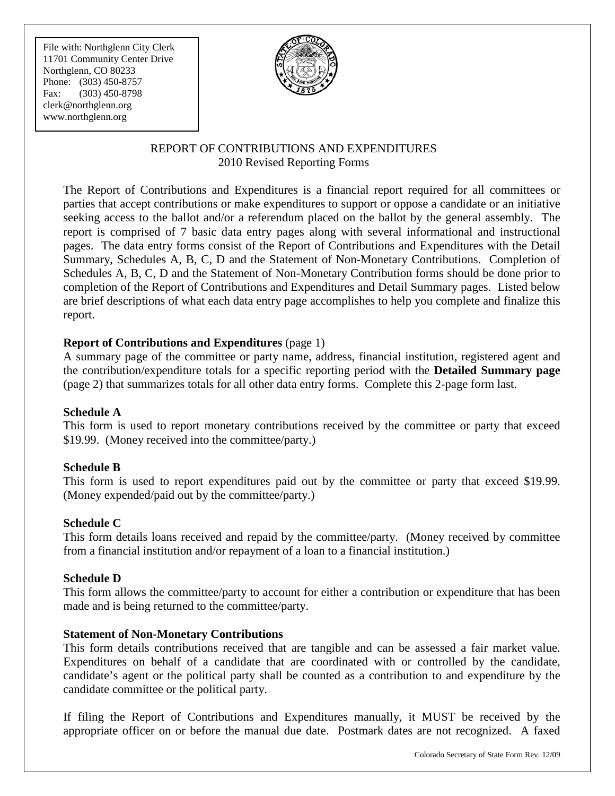File with: Northglenn City Clerk 11701 Community Center Drive Northglenn, CO 80233 Phone: (303) 450-8757 Fax: (303) 450-8798 [clerk@northglenn.org](mailto:clerk@northglenn.org) www.northglenn.org



### REPORT OF CONTRIBUTIONS AND EXPENDITURES 2010 Revised Reporting Forms

The Report of Contributions and Expenditures is a financial report required for all committees or parties that accept contributions or make expenditures to support or oppose a candidate or an initiative seeking access to the ballot and/or a referendum placed on the ballot by the general assembly. The report is comprised of 7 basic data entry pages along with several informational and instructional pages. The data entry forms consist of the Report of Contributions and Expenditures with the Detail Summary, Schedules A, B, C, D and the Statement of Non-Monetary Contributions. Completion of Schedules A, B, C, D and the Statement of Non-Monetary Contribution forms should be done prior to completion of the Report of Contributions and Expenditures and Detail Summary pages. Listed below are brief descriptions of what each data entry page accomplishes to help you complete and finalize this report.

#### **Report of Contributions and Expenditures** (page 1)

A summary page of the committee or party name, address, financial institution, registered agent and the contribution/expenditure totals for a specific reporting period with the **Detailed Summary page** (page 2) that summarizes totals for all other data entry forms. Complete this 2-page form last.

#### **Schedule A**

This form is used to report monetary contributions received by the committee or party that exceed \$19.99. (Money received into the committee/party.)

#### **Schedule B**

This form is used to report expenditures paid out by the committee or party that exceed \$19.99. (Money expended/paid out by the committee/party.)

#### **Schedule C**

This form details loans received and repaid by the committee/party. (Money received by committee from a financial institution and/or repayment of a loan to a financial institution.)

#### **Schedule D**

This form allows the committee/party to account for either a contribution or expenditure that has been made and is being returned to the committee/party.

#### **Statement of Non-Monetary Contributions**

This form details contributions received that are tangible and can be assessed a fair market value. Expenditures on behalf of a candidate that are coordinated with or controlled by the candidate, candidate's agent or the political party shall be counted as a contribution to and expenditure by the candidate committee or the political party.

If filing the Report of Contributions and Expenditures manually, it MUST be received by the appropriate officer on or before the manual due date. Postmark dates are not recognized. A faxed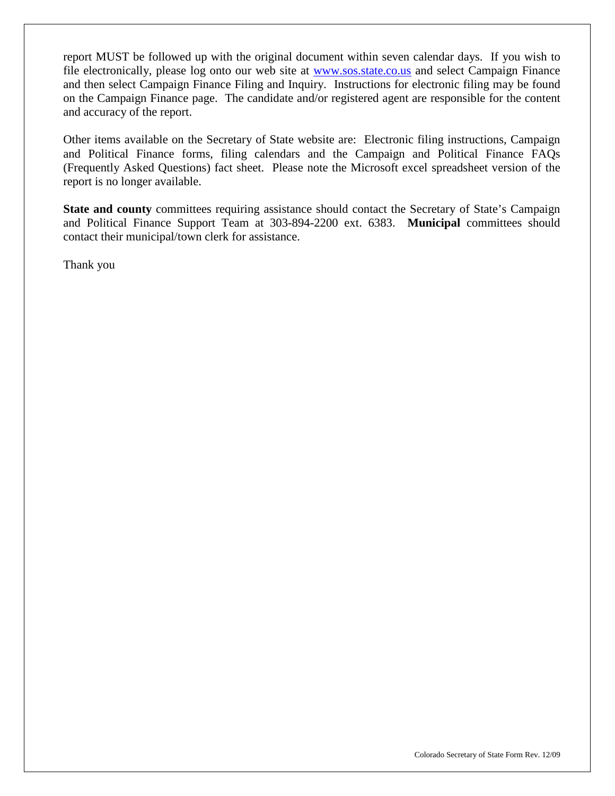report MUST be followed up with the original document within seven calendar days. If you wish to file electronically, please log onto our web site at [www.sos.state.co.us](http://www.sos.state.co.us/) and select Campaign Finance and then select Campaign Finance Filing and Inquiry. Instructions for electronic filing may be found on the Campaign Finance page. The candidate and/or registered agent are responsible for the content and accuracy of the report.

Other items available on the Secretary of State website are: Electronic filing instructions, Campaign and Political Finance forms, filing calendars and the Campaign and Political Finance FAQs (Frequently Asked Questions) fact sheet. Please note the Microsoft excel spreadsheet version of the report is no longer available.

**State and county** committees requiring assistance should contact the Secretary of State's Campaign and Political Finance Support Team at 303-894-2200 ext. 6383. **Municipal** committees should contact their municipal/town clerk for assistance.

Thank you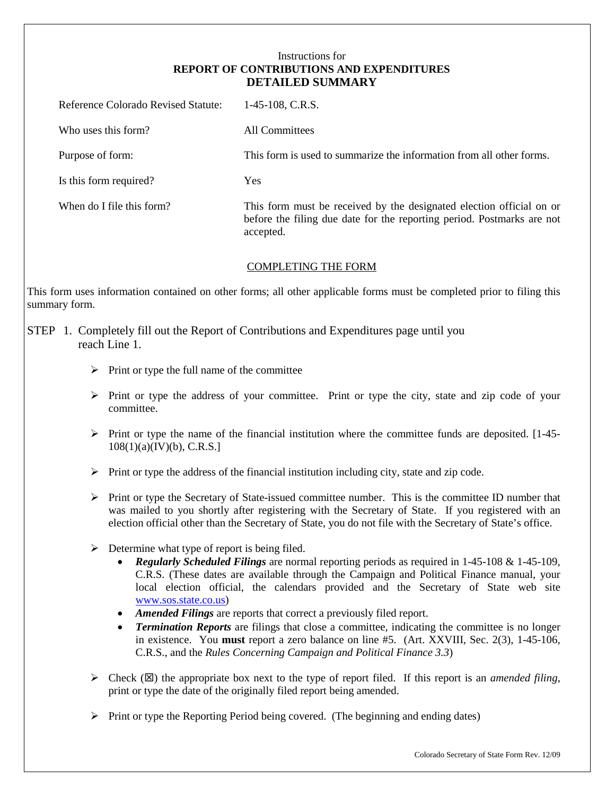#### Instructions for **REPORT OF CONTRIBUTIONS AND EXPENDITURES DETAILED SUMMARY**

| Reference Colorado Revised Statute: | $1-45-108$ , C.R.S.                                                                                                                                         |
|-------------------------------------|-------------------------------------------------------------------------------------------------------------------------------------------------------------|
| Who uses this form?                 | All Committees                                                                                                                                              |
| Purpose of form:                    | This form is used to summarize the information from all other forms.                                                                                        |
| Is this form required?              | <b>Yes</b>                                                                                                                                                  |
| When do I file this form?           | This form must be received by the designated election official on or<br>before the filing due date for the reporting period. Postmarks are not<br>accepted. |

#### COMPLETING THE FORM

This form uses information contained on other forms; all other applicable forms must be completed prior to filing this summary form.

#### STEP 1. Completely fill out the Report of Contributions and Expenditures page until you reach Line 1.

- $\triangleright$  Print or type the full name of the committee
- $\triangleright$  Print or type the address of your committee. Print or type the city, state and zip code of your committee.
- $\triangleright$  Print or type the name of the financial institution where the committee funds are deposited. [1-45- $108(1)(a)(IV)(b)$ , C.R.S.]
- $\triangleright$  Print or type the address of the financial institution including city, state and zip code.
- $\triangleright$  Print or type the Secretary of State-issued committee number. This is the committee ID number that was mailed to you shortly after registering with the Secretary of State. If you registered with an election official other than the Secretary of State, you do not file with the Secretary of State's office.
- $\triangleright$  Determine what type of report is being filed.
	- *Regularly Scheduled Filings* are normal reporting periods as required in 1-45-108 & 1-45-109, C.R.S. (These dates are available through the Campaign and Political Finance manual, your local election official, the calendars provided and the Secretary of State web site [www.sos.state.co.us\)](http://www.sos.state.co.us/)
	- *Amended Filings* are reports that correct a previously filed report.
	- *Termination Reports* are filings that close a committee, indicating the committee is no longer in existence. You **must** report a zero balance on line #5. (Art. XXVIII, Sec. 2(3), 1-45-106, C.R.S., and the *Rules Concerning Campaign and Political Finance 3.3*)
- $\triangleright$  Check ( $\boxtimes$ ) the appropriate box next to the type of report filed. If this report is an *amended filing*, print or type the date of the originally filed report being amended.
- $\triangleright$  Print or type the Reporting Period being covered. (The beginning and ending dates)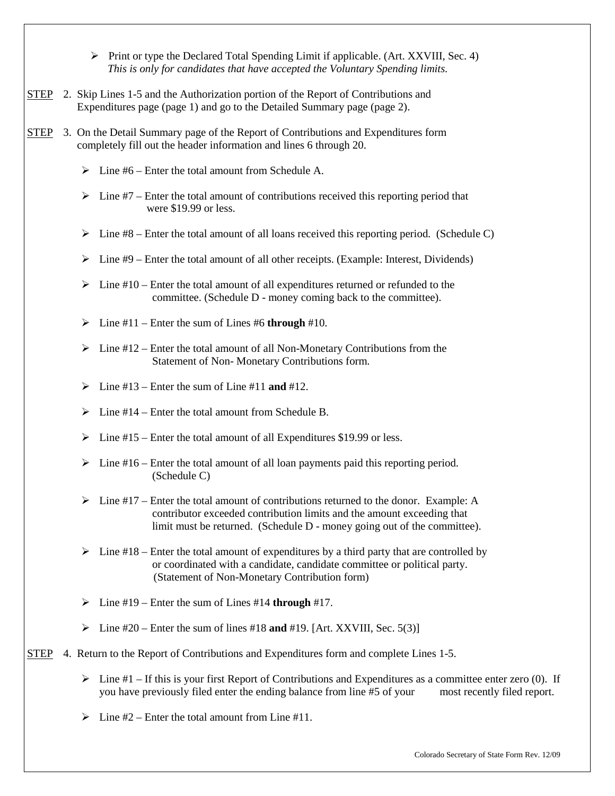$\triangleright$  Print or type the Declared Total Spending Limit if applicable. (Art. XXVIII, Sec. 4)  *This is only for candidates that have accepted the Voluntary Spending limits.*

- STEP 2. Skip Lines 1-5 and the Authorization portion of the Report of Contributions and Expenditures page (page 1) and go to the Detailed Summary page (page 2).
- STEP 3. On the Detail Summary page of the Report of Contributions and Expenditures form completely fill out the header information and lines 6 through 20.
	- $\triangleright$  Line #6 Enter the total amount from Schedule A.
	- $\triangleright$  Line #7 Enter the total amount of contributions received this reporting period that were \$19.99 or less.
	- $\triangleright$  Line #8 Enter the total amount of all loans received this reporting period. (Schedule C)
	- $\triangleright$  Line #9 Enter the total amount of all other receipts. (Example: Interest, Dividends)
	- $\triangleright$  Line #10 Enter the total amount of all expenditures returned or refunded to the committee. (Schedule D - money coming back to the committee).
	- $\triangleright$  Line #11 Enter the sum of Lines #6 **through** #10.
	- $\triangleright$  Line #12 Enter the total amount of all Non-Monetary Contributions from the Statement of Non- Monetary Contributions form.
	- $\triangleright$  Line #13 Enter the sum of Line #11 **and** #12.
	- $\triangleright$  Line #14 Enter the total amount from Schedule B.
	- $\triangleright$  Line #15 Enter the total amount of all Expenditures \$19.99 or less.
	- $\triangleright$  Line #16 Enter the total amount of all loan payments paid this reporting period. (Schedule C)
	- $\triangleright$  Line #17 Enter the total amount of contributions returned to the donor. Example: A contributor exceeded contribution limits and the amount exceeding that limit must be returned. (Schedule D - money going out of the committee).
	- $\triangleright$  Line #18 Enter the total amount of expenditures by a third party that are controlled by or coordinated with a candidate, candidate committee or political party. (Statement of Non-Monetary Contribution form)
	- Line #19 Enter the sum of Lines #14 **through** #17.
	- $\triangleright$  Line #20 Enter the sum of lines #18 **and** #19. [Art. XXVIII, Sec. 5(3)]

#### STEP 4. Return to the Report of Contributions and Expenditures form and complete Lines 1-5.

- $\triangleright$  Line #1 If this is your first Report of Contributions and Expenditures as a committee enter zero (0). If you have previously filed enter the ending balance from line #5 of your most recently filed report.
- $\geq 1$  ine #2 Enter the total amount from Line #11.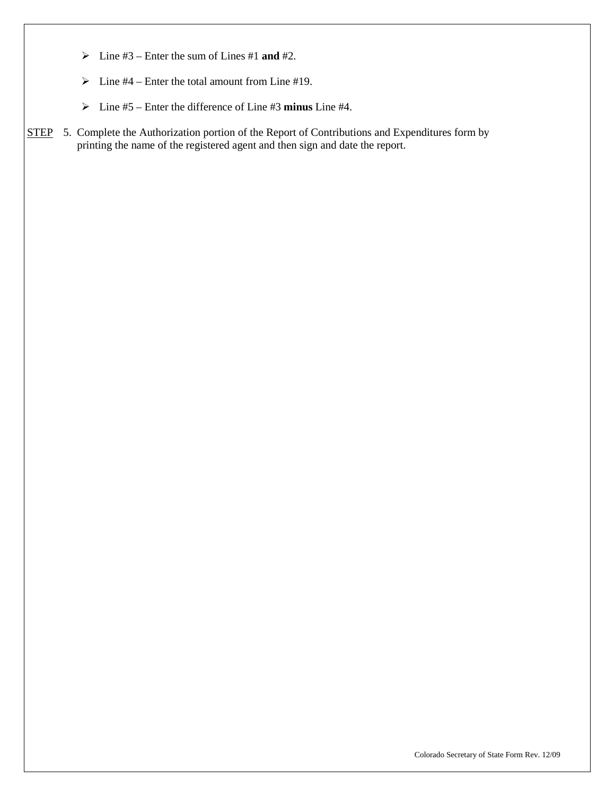- $\triangleright$  Line #3 Enter the sum of Lines #1 **and** #2.
- $\triangleright$  Line #4 Enter the total amount from Line #19.
- Line #5 Enter the difference of Line #3 **minus** Line #4.
- STEP 5. Complete the Authorization portion of the Report of Contributions and Expenditures form by printing the name of the registered agent and then sign and date the report.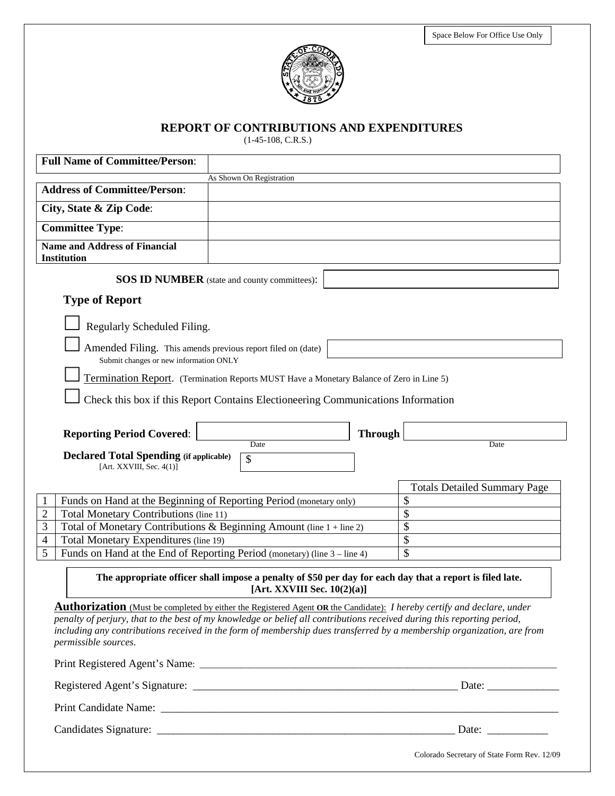

**REPORT OF CONTRIBUTIONS AND EXPENDITURES**

(1-45-108, C.R.S.)

| <b>Full Name of Committee/Person:</b>                                                                                                                                                                                                                                     |                                                                                                                                            |                |                                             |
|---------------------------------------------------------------------------------------------------------------------------------------------------------------------------------------------------------------------------------------------------------------------------|--------------------------------------------------------------------------------------------------------------------------------------------|----------------|---------------------------------------------|
|                                                                                                                                                                                                                                                                           | As Shown On Registration                                                                                                                   |                |                                             |
| <b>Address of Committee/Person:</b>                                                                                                                                                                                                                                       |                                                                                                                                            |                |                                             |
| City, State & Zip Code:                                                                                                                                                                                                                                                   |                                                                                                                                            |                |                                             |
| <b>Committee Type:</b>                                                                                                                                                                                                                                                    |                                                                                                                                            |                |                                             |
| <b>Name and Address of Financial</b>                                                                                                                                                                                                                                      |                                                                                                                                            |                |                                             |
| <b>Institution</b>                                                                                                                                                                                                                                                        |                                                                                                                                            |                |                                             |
|                                                                                                                                                                                                                                                                           | <b>SOS ID NUMBER</b> (state and county committees):                                                                                        |                |                                             |
| <b>Type of Report</b>                                                                                                                                                                                                                                                     |                                                                                                                                            |                |                                             |
| Regularly Scheduled Filing.                                                                                                                                                                                                                                               |                                                                                                                                            |                |                                             |
|                                                                                                                                                                                                                                                                           |                                                                                                                                            |                |                                             |
| Amended Filing. This amends previous report filed on (date)<br>Submit changes or new information ONLY                                                                                                                                                                     |                                                                                                                                            |                |                                             |
|                                                                                                                                                                                                                                                                           | Termination Report. (Termination Reports MUST Have a Monetary Balance of Zero in Line 5)                                                   |                |                                             |
|                                                                                                                                                                                                                                                                           | Check this box if this Report Contains Electioneering Communications Information                                                           |                |                                             |
|                                                                                                                                                                                                                                                                           |                                                                                                                                            |                |                                             |
| <b>Reporting Period Covered:</b>                                                                                                                                                                                                                                          |                                                                                                                                            | <b>Through</b> |                                             |
|                                                                                                                                                                                                                                                                           | Date                                                                                                                                       |                | Date                                        |
| <b>Declared Total Spending (if applicable)</b><br>[Art. XXVIII, Sec. $4(1)$ ]                                                                                                                                                                                             | \$                                                                                                                                         |                |                                             |
|                                                                                                                                                                                                                                                                           |                                                                                                                                            |                |                                             |
|                                                                                                                                                                                                                                                                           |                                                                                                                                            |                | <b>Totals Detailed Summary Page</b>         |
| Funds on Hand at the Beginning of Reporting Period (monetary only)<br>1                                                                                                                                                                                                   |                                                                                                                                            |                | \$                                          |
| $\overline{2}$<br>Total Monetary Contributions (line 11)                                                                                                                                                                                                                  |                                                                                                                                            |                | \$                                          |
| 3<br>Total of Monetary Contributions & Beginning Amount (line 1 + line 2)                                                                                                                                                                                                 |                                                                                                                                            |                | \$                                          |
| Total Monetary Expenditures (line 19)<br>$\overline{4}$<br>Funds on Hand at the End of Reporting Period (monetary) (line 3 – line 4)                                                                                                                                      |                                                                                                                                            |                | \$                                          |
| 5                                                                                                                                                                                                                                                                         |                                                                                                                                            |                | \$                                          |
|                                                                                                                                                                                                                                                                           | The appropriate officer shall impose a penalty of \$50 per day for each day that a report is filed late.<br>[Art. XXVIII Sec. $10(2)(a)$ ] |                |                                             |
| Authorization (Must be completed by either the Registered Agent OR the Candidate): I hereby certify and declare, under                                                                                                                                                    |                                                                                                                                            |                |                                             |
| penalty of perjury, that to the best of my knowledge or belief all contributions received during this reporting period,<br>including any contributions received in the form of membership dues transferred by a membership organization, are from<br>permissible sources. |                                                                                                                                            |                |                                             |
|                                                                                                                                                                                                                                                                           |                                                                                                                                            |                |                                             |
|                                                                                                                                                                                                                                                                           |                                                                                                                                            |                |                                             |
|                                                                                                                                                                                                                                                                           |                                                                                                                                            |                |                                             |
|                                                                                                                                                                                                                                                                           |                                                                                                                                            |                |                                             |
|                                                                                                                                                                                                                                                                           |                                                                                                                                            |                | Colorado Secretary of State Form Rev. 12/09 |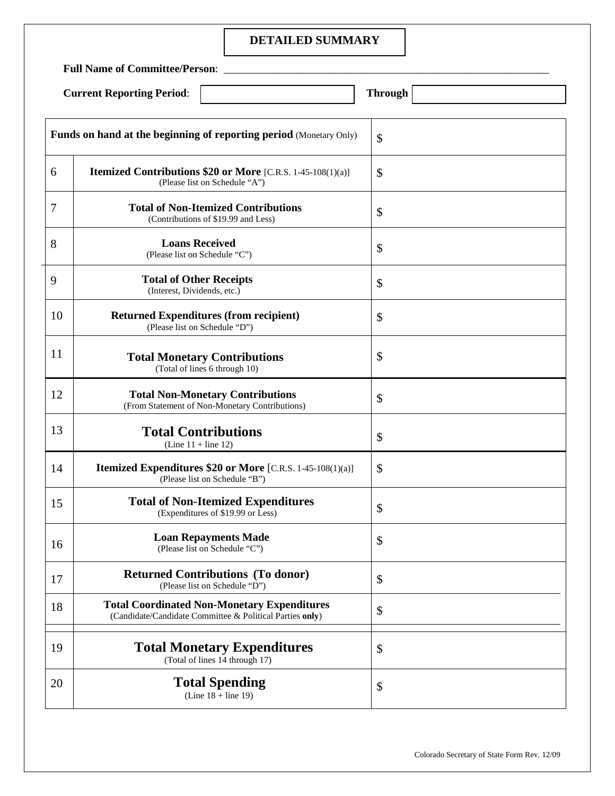#### **DETAILED SUMMARY**

**Full Name of Committee/Person**: \_\_\_\_\_\_\_\_\_\_\_\_\_\_\_\_\_\_\_\_\_\_\_\_\_\_\_\_\_\_\_\_\_\_\_\_\_\_\_\_\_\_\_\_\_\_\_\_\_\_\_\_\_\_\_\_\_\_\_

| <b>Through</b> |
|----------------|

|        | <b>Funds on hand at the beginning of reporting period (Monetary Only)</b>                                      | \$            |
|--------|----------------------------------------------------------------------------------------------------------------|---------------|
| 6      | Itemized Contributions \$20 or More [C.R.S. 1-45-108(1)(a)]<br>(Please list on Schedule "A")                   | \$            |
| $\tau$ | <b>Total of Non-Itemized Contributions</b><br>(Contributions of \$19.99 and Less)                              | \$            |
| 8      | <b>Loans Received</b><br>(Please list on Schedule "C")                                                         | \$            |
| 9      | <b>Total of Other Receipts</b><br>(Interest, Dividends, etc.)                                                  | \$            |
| 10     | <b>Returned Expenditures (from recipient)</b><br>(Please list on Schedule "D")                                 | \$            |
| 11     | <b>Total Monetary Contributions</b><br>(Total of lines 6 through 10)                                           | \$            |
| 12     | <b>Total Non-Monetary Contributions</b><br>(From Statement of Non-Monetary Contributions)                      | \$            |
| 13     | <b>Total Contributions</b><br>$(Line 11 + line 12)$                                                            | \$            |
| 14     | <b>Itemized Expenditures \$20 or More</b> [C.R.S. 1-45-108(1)(a)]<br>(Please list on Schedule "B")             | \$            |
| 15     | <b>Total of Non-Itemized Expenditures</b><br>(Expenditures of \$19.99 or Less)                                 | \$            |
| 16     | <b>Loan Repayments Made</b><br>(Please list on Schedule "C")                                                   | \$            |
| 17     | <b>Returned Contributions (To donor)</b><br>(Please list on Schedule "D")                                      | $\mathcal{S}$ |
| 18     | <b>Total Coordinated Non-Monetary Expenditures</b><br>(Candidate/Candidate Committee & Political Parties only) | \$            |
| 19     | <b>Total Monetary Expenditures</b><br>(Total of lines 14 through 17)                                           | \$            |
| 20     | <b>Total Spending</b><br>(Line $18 + line 19$ )                                                                | \$            |
|        |                                                                                                                |               |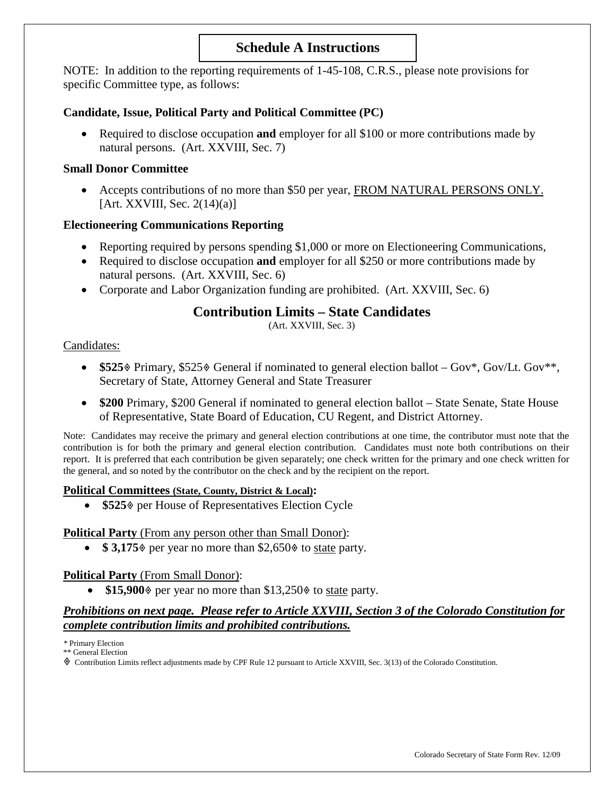# **Schedule A Instructions**

NOTE: In addition to the reporting requirements of 1-45-108, C.R.S., please note provisions for specific Committee type, as follows:

#### **Candidate, Issue, Political Party and Political Committee (PC)**

• Required to disclose occupation **and** employer for all \$100 or more contributions made by natural persons. (Art. XXVIII, Sec. 7)

#### **Small Donor Committee**

• Accepts contributions of no more than \$50 per year, FROM NATURAL PERSONS ONLY. [Art. XXVIII, Sec. 2(14)(a)]

#### **Electioneering Communications Reporting**

- Reporting required by persons spending \$1,000 or more on Electioneering Communications,
- Required to disclose occupation **and** employer for all \$250 or more contributions made by natural persons. (Art. XXVIII, Sec. 6)
- Corporate and Labor Organization funding are prohibited. (Art. XXVIII, Sec. 6)

# **Contribution Limits – State Candidates**

(Art. XXVIII, Sec. 3)

#### Candidates:

- \$525% Primary, \$525% General if nominated to general election ballot Gov\*, Gov/Lt. Gov\*\*, Secretary of State, Attorney General and State Treasurer
- \$200 Primary, \$200 General if nominated to general election ballot State Senate, State House of Representative, State Board of Education, CU Regent, and District Attorney.

Note: Candidates may receive the primary and general election contributions at one time, the contributor must note that the contribution is for both the primary and general election contribution. Candidates must note both contributions on their report. It is preferred that each contribution be given separately; one check written for the primary and one check written for the general, and so noted by the contributor on the check and by the recipient on the report.

#### **Political Committees (State, County, District & Local):**

• **\$525** per House of Representatives Election Cycle

#### **Political Party** (From any person other than Small Donor):

•  $$3,175$  per year no more than  $$2,650$  to state party.

#### **Political Party** (From Small Donor):

• \$15,900% per year no more than \$13,250% to state party.

#### *Prohibitions on next page. Please refer to Article XXVIII, Section 3 of the Colorado Constitution for complete contribution limits and prohibited contributions.*

*\** Primary Election

\*\* General Election

Contribution Limits reflect adjustments made by CPF Rule 12 pursuant to Article XXVIII, Sec. 3(13) of the Colorado Constitution.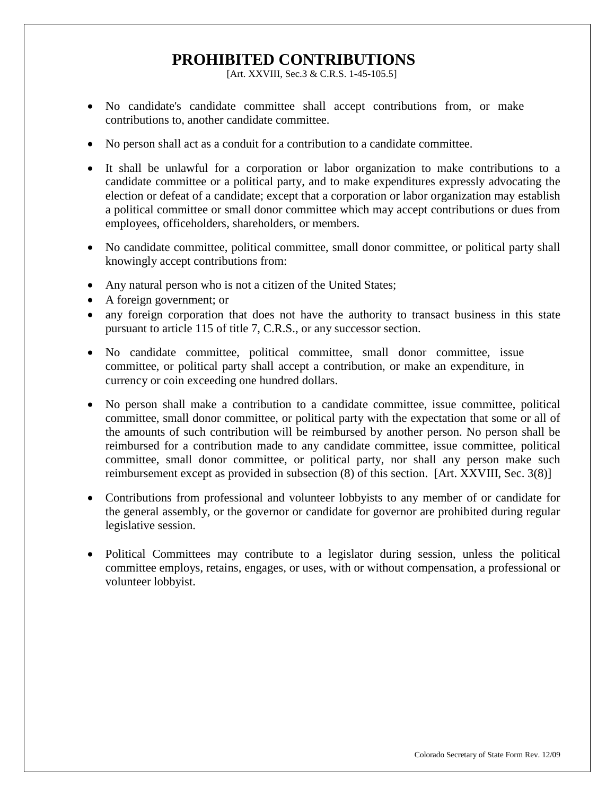# **PROHIBITED CONTRIBUTIONS**

[Art. XXVIII, Sec.3 & C.R.S. 1-45-105.5]

- No candidate's candidate committee shall accept contributions from, or make contributions to, another candidate committee.
- No person shall act as a conduit for a contribution to a candidate committee.
- It shall be unlawful for a corporation or labor organization to make contributions to a candidate committee or a political party, and to make expenditures expressly advocating the election or defeat of a candidate; except that a corporation or labor organization may establish a political committee or small donor committee which may accept contributions or dues from employees, officeholders, shareholders, or members.
- No candidate committee, political committee, small donor committee, or political party shall knowingly accept contributions from:
- Any natural person who is not a citizen of the United States;
- A foreign government; or
- any foreign corporation that does not have the authority to transact business in this state pursuant to article 115 of title 7, C.R.S., or any successor section.
- No candidate committee, political committee, small donor committee, issue committee, or political party shall accept a contribution, or make an expenditure, in currency or coin exceeding one hundred dollars.
- No person shall make a contribution to a candidate committee, issue committee, political committee, small donor committee, or political party with the expectation that some or all of the amounts of such contribution will be reimbursed by another person. No person shall be reimbursed for a contribution made to any candidate committee, issue committee, political committee, small donor committee, or political party, nor shall any person make such reimbursement except as provided in subsection (8) of this section. [Art. XXVIII, Sec. 3(8)]
- Contributions from professional and volunteer lobbyists to any member of or candidate for the general assembly, or the governor or candidate for governor are prohibited during regular legislative session.
- Political Committees may contribute to a legislator during session, unless the political committee employs, retains, engages, or uses, with or without compensation, a professional or volunteer lobbyist.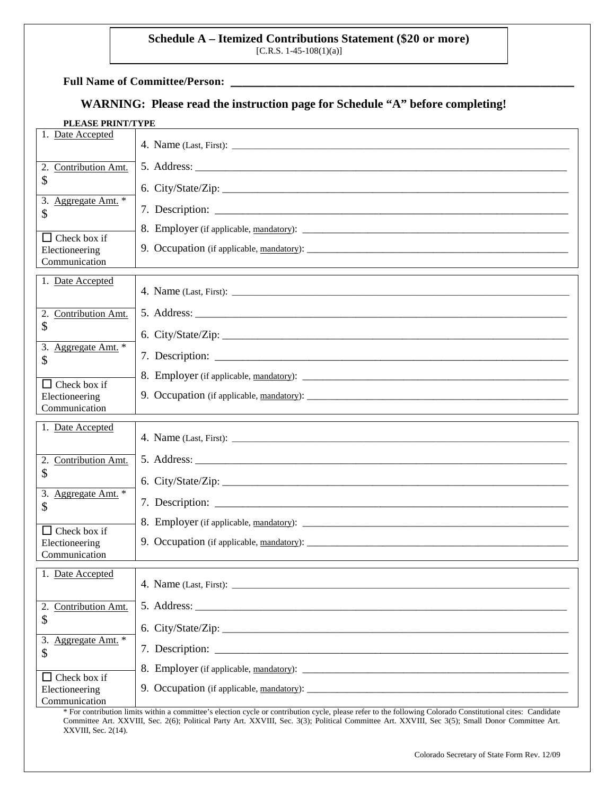# **Schedule A – Itemized Contributions Statement (\$20 or more)** [C.R.S. 1-45-108(1)(a)]

Full Name of Committee/Person:

# **WARNING: Please read the instruction page for Schedule "A" before completing!**

| PLEASE PRINT/TYPE |  |
|-------------------|--|
|-------------------|--|

| 1. Date Accepted                      |                                                                                                                                                                                                                                |
|---------------------------------------|--------------------------------------------------------------------------------------------------------------------------------------------------------------------------------------------------------------------------------|
| Contribution Amt.<br>2.               |                                                                                                                                                                                                                                |
| \$                                    |                                                                                                                                                                                                                                |
| Aggregate Amt. *<br>3.<br>\$          |                                                                                                                                                                                                                                |
| Check box if                          |                                                                                                                                                                                                                                |
| Electioneering<br>Communication       |                                                                                                                                                                                                                                |
| 1. Date Accepted                      |                                                                                                                                                                                                                                |
| Contribution Amt.<br>2.               |                                                                                                                                                                                                                                |
| \$                                    | 6. City/State/Zip: 2008. 2009. 2009. 2010. 2010. 2010. 2010. 2010. 2010. 2010. 2010. 2010. 2010. 2010. 2010. 2010. 2010. 2010. 2010. 2010. 2010. 2010. 2010. 2010. 2010. 2010. 2010. 2010. 2010. 2010. 2010. 2010. 2010. 2010. |
| Aggregate Amt. *<br>3.                |                                                                                                                                                                                                                                |
| \$                                    |                                                                                                                                                                                                                                |
| $\Box$ Check box if<br>Electioneering | 9. Occupation (if applicable, mandatory):                                                                                                                                                                                      |
| Communication                         |                                                                                                                                                                                                                                |
|                                       |                                                                                                                                                                                                                                |
| 1. Date Accepted                      |                                                                                                                                                                                                                                |
| 2.<br>Contribution Amt.               |                                                                                                                                                                                                                                |
| \$                                    |                                                                                                                                                                                                                                |
| 3.<br>Aggregate Amt. *<br>\$          |                                                                                                                                                                                                                                |
| $\mathsf{L}$<br>Check box if          | 8. Employer (if applicable, mandatory):                                                                                                                                                                                        |
| Electioneering<br>Communication       |                                                                                                                                                                                                                                |
| 1. Date Accepted                      |                                                                                                                                                                                                                                |
|                                       |                                                                                                                                                                                                                                |
| Contribution Amt.<br>2.               |                                                                                                                                                                                                                                |
| \$                                    | 6. City/State/Zip:                                                                                                                                                                                                             |
| 3. Aggregate Amt. *<br>\$             |                                                                                                                                                                                                                                |
| $\Box$ Check box if<br>Electioneering | 8. Employer (if applicable, mandatory):                                                                                                                                                                                        |

\* For contribution limits within a committee's election cycle or contribution cycle, please refer to the following Colorado Constitutional cites: Candidate Committee Art. XXVIII, Sec. 2(6); Political Party Art. XXVIII, Sec. 3(3); Political Committee Art. XXVIII, Sec 3(5); Small Donor Committee Art. XXVIII, Sec. 2(14).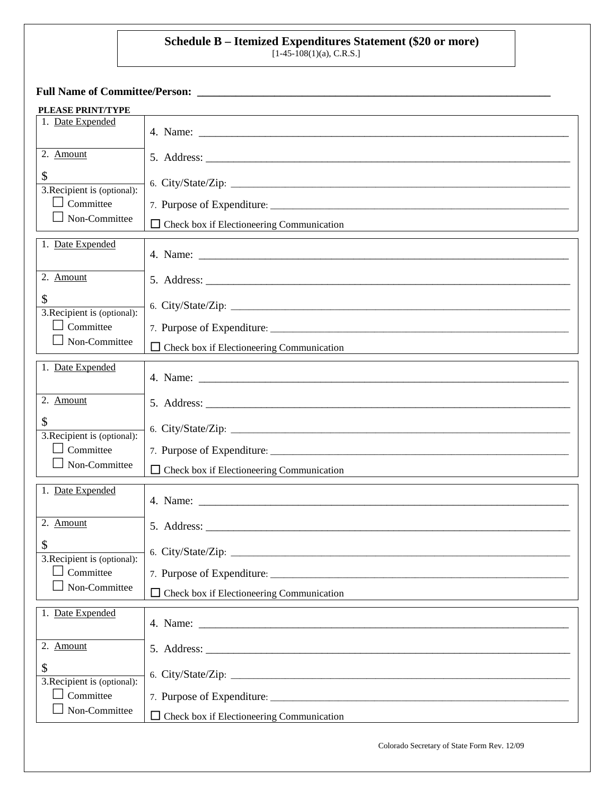## **Schedule B – Itemized Expenditures Statement (\$20 or more)**

 $[1-45-108(1)(a), C.R.S.]$ 

**Full Name of Committee/Person: \_\_\_\_\_\_\_\_\_\_\_\_\_\_\_\_\_\_\_\_\_\_\_\_\_\_\_\_\_\_\_\_\_\_\_\_\_\_\_\_\_\_\_\_\_\_\_\_\_\_\_\_\_\_\_\_\_\_\_\_\_\_\_\_**

| PLEASE PRINT/TYPE                               |                                                  |
|-------------------------------------------------|--------------------------------------------------|
| 1. Date Expended                                |                                                  |
|                                                 |                                                  |
| 2. Amount                                       |                                                  |
| \$                                              |                                                  |
| 3. Recipient is (optional):<br>$\Box$ Committee |                                                  |
| $\Box$ Non-Committee                            |                                                  |
|                                                 | $\Box$ Check box if Electioneering Communication |
| 1. Date Expended                                |                                                  |
| 2. Amount                                       |                                                  |
| \$<br>3. Recipient is (optional):               | 6. City/State/Zip:                               |
| $\Box$ Committee                                |                                                  |
| $\Box$ Non-Committee                            | $\Box$ Check box if Electioneering Communication |
| 1. Date Expended                                |                                                  |
|                                                 |                                                  |
| 2. Amount                                       |                                                  |
| \$<br>3. Recipient is (optional):               |                                                  |
| $\Box$ Committee                                |                                                  |
| $\Box$ Non-Committee                            | $\Box$ Check box if Electioneering Communication |
| 1. Date Expended                                |                                                  |
|                                                 | 4. Name: $\blacksquare$                          |
| 2. Amount                                       |                                                  |
| \$<br>3. Recipient is (optional):               | 6. City/State/Zip:                               |
| $\Box$ Committee                                |                                                  |
| Non-Committee                                   | $\Box$ Check box if Electioneering Communication |
| 1. Date Expended                                |                                                  |
| 2. Amount                                       |                                                  |
| \$                                              |                                                  |
| 3. Recipient is (optional):<br>$\Box$ Committee | 7. Purpose of Expenditure:                       |
| Non-Committee                                   | Check box if Electioneering Communication        |
|                                                 |                                                  |
|                                                 | Colorado Secretary of State Form Rev. 12/09      |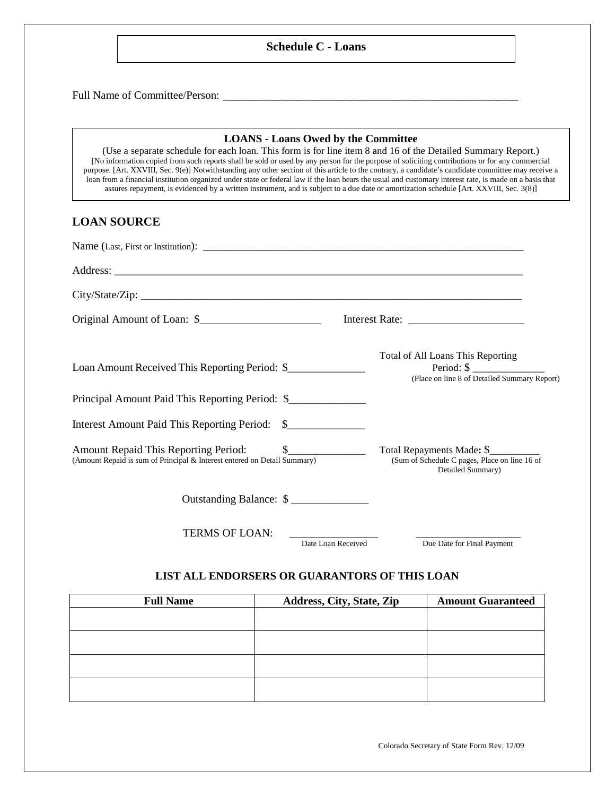#### **Schedule C - Loans**

Full Name of Committee/Person: \_\_\_\_\_\_\_\_\_\_\_\_\_\_\_\_\_\_\_\_\_\_\_\_\_\_\_\_\_\_\_\_\_\_\_\_\_\_\_\_\_\_

#### **LOANS - Loans Owed by the Committee**

(Use a separate schedule for each loan. This form is for line item 8 and 16 of the Detailed Summary Report.) [No information copied from such reports shall be sold or used by any person for the purpose of soliciting contributions or for any commercial purpose. [Art. XXVIII, Sec. 9(e)] Notwithstanding any other section of this article to the contrary, a candidate's candidate committee may receive a loan from a financial institution organized under state or federal law if the loan bears the usual and customary interest rate, is made on a basis that assures repayment, is evidenced by a written instrument, and is subject to a due date or amortization schedule [Art. XXVIII, Sec. 3(8)]

#### **LOAN SOURCE**

| Loan Amount Received This Reporting Period: \$                           | Total of All Loans This Reporting<br>Period: $\$\$<br>(Place on line 8 of Detailed Summary Report) |
|--------------------------------------------------------------------------|----------------------------------------------------------------------------------------------------|
| Principal Amount Paid This Reporting Period: \$                          |                                                                                                    |
| Interest Amount Paid This Reporting Period: \$                           |                                                                                                    |
| (Amount Repaid is sum of Principal & Interest entered on Detail Summary) | Total Repayments Made: \$<br>(Sum of Schedule C pages, Place on line 16 of<br>Detailed Summary)    |
| Outstanding Balance: \$                                                  |                                                                                                    |
| <b>TERMS OF LOAN:</b>                                                    |                                                                                                    |

Date Loan Received Due Date for Final Payment

#### **LIST ALL ENDORSERS OR GUARANTORS OF THIS LOAN**

| <b>Full Name</b> | Address, City, State, Zip | <b>Amount Guaranteed</b> |
|------------------|---------------------------|--------------------------|
|                  |                           |                          |
|                  |                           |                          |
|                  |                           |                          |
|                  |                           |                          |
|                  |                           |                          |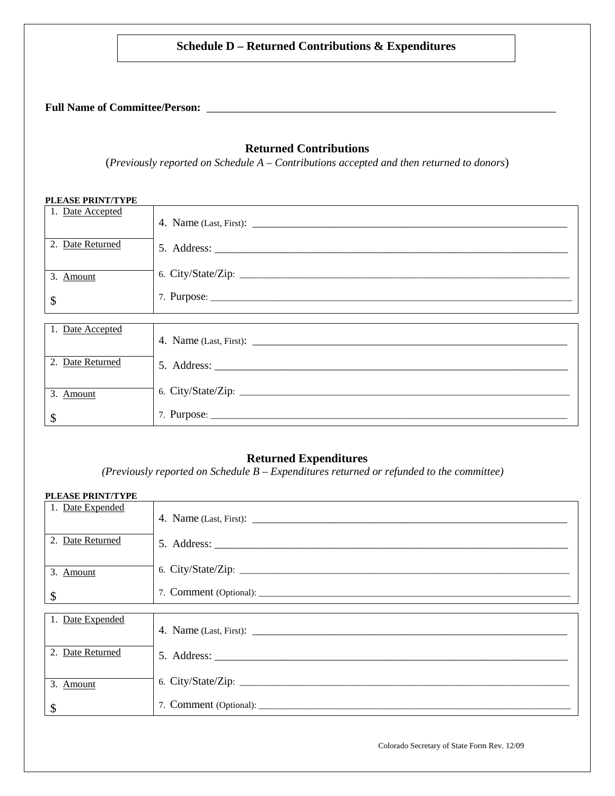### **Schedule D – Returned Contributions & Expenditures**

**Full Name of Committee/Person:** \_\_\_\_\_\_\_\_\_\_\_\_\_\_\_\_\_\_\_\_\_\_\_\_\_\_\_\_\_\_\_\_\_\_\_\_\_\_\_\_\_\_\_\_\_\_\_\_\_\_\_\_\_\_\_\_\_\_

#### **Returned Contributions**

(*Previously reported on Schedule A – Contributions accepted and then returned to donors*)

| <b>PLEASE PRINT/TYPE</b> |  |
|--------------------------|--|
| 1. Date Accepted         |  |
| 2. Date Returned         |  |
| 3. Amount                |  |
| \$                       |  |
|                          |  |
| 1. Date Accepted         |  |
| 2. Date Returned         |  |
| 3. Amount                |  |
| \$                       |  |

### **Returned Expenditures**

*(Previously reported on Schedule B – Expenditures returned or refunded to the committee)*

| <b>PLEASE PRINT/TYPE</b>  |                    |
|---------------------------|--------------------|
| 1. Date Expended          |                    |
| 2. Date Returned          |                    |
| 3. Amount                 | 6. City/State/Zip: |
| $\boldsymbol{\mathsf{S}}$ |                    |
|                           |                    |
| 1. Date Expended          |                    |
| 2. Date Returned          |                    |
| 3. Amount                 |                    |
| \$                        |                    |

Colorado Secretary of State Form Rev. 12/09